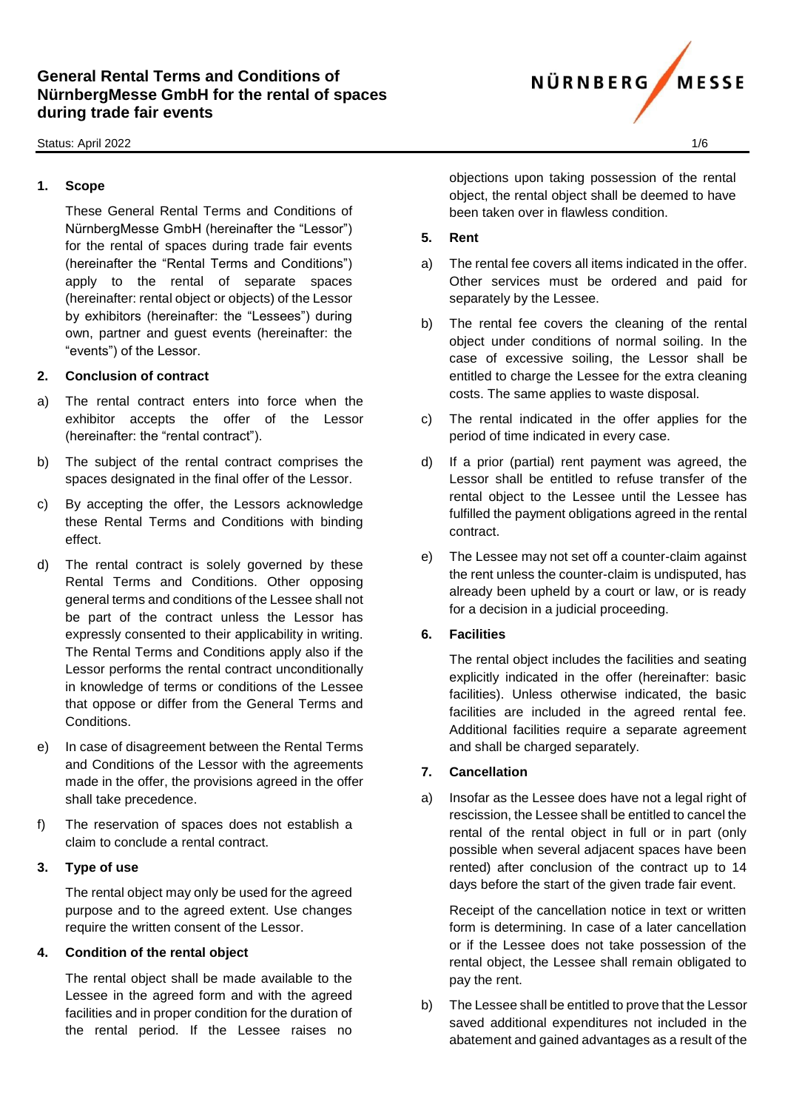#### Status: April 2022 2002 1/6

### **1. Scope**

These General Rental Terms and Conditions of NürnbergMesse GmbH (hereinafter the "Lessor") for the rental of spaces during trade fair events (hereinafter the "Rental Terms and Conditions") apply to the rental of separate spaces (hereinafter: rental object or objects) of the Lessor by exhibitors (hereinafter: the "Lessees") during own, partner and guest events (hereinafter: the "events") of the Lessor.

### **2. Conclusion of contract**

- a) The rental contract enters into force when the exhibitor accepts the offer of the Lessor (hereinafter: the "rental contract").
- b) The subject of the rental contract comprises the spaces designated in the final offer of the Lessor.
- c) By accepting the offer, the Lessors acknowledge these Rental Terms and Conditions with binding effect.
- d) The rental contract is solely governed by these Rental Terms and Conditions. Other opposing general terms and conditions of the Lessee shall not be part of the contract unless the Lessor has expressly consented to their applicability in writing. The Rental Terms and Conditions apply also if the Lessor performs the rental contract unconditionally in knowledge of terms or conditions of the Lessee that oppose or differ from the General Terms and Conditions.
- e) In case of disagreement between the Rental Terms and Conditions of the Lessor with the agreements made in the offer, the provisions agreed in the offer shall take precedence.
- f) The reservation of spaces does not establish a claim to conclude a rental contract.

## **3. Type of use**

The rental object may only be used for the agreed purpose and to the agreed extent. Use changes require the written consent of the Lessor.

## **4. Condition of the rental object**

The rental object shall be made available to the Lessee in the agreed form and with the agreed facilities and in proper condition for the duration of the rental period. If the Lessee raises no

objections upon taking possession of the rental object, the rental object shall be deemed to have been taken over in flawless condition.

## **5. Rent**

- a) The rental fee covers all items indicated in the offer. Other services must be ordered and paid for separately by the Lessee.
- b) The rental fee covers the cleaning of the rental object under conditions of normal soiling. In the case of excessive soiling, the Lessor shall be entitled to charge the Lessee for the extra cleaning costs. The same applies to waste disposal.
- c) The rental indicated in the offer applies for the period of time indicated in every case.
- d) If a prior (partial) rent payment was agreed, the Lessor shall be entitled to refuse transfer of the rental object to the Lessee until the Lessee has fulfilled the payment obligations agreed in the rental contract.
- e) The Lessee may not set off a counter-claim against the rent unless the counter-claim is undisputed, has already been upheld by a court or law, or is ready for a decision in a judicial proceeding.

## **6. Facilities**

The rental object includes the facilities and seating explicitly indicated in the offer (hereinafter: basic facilities). Unless otherwise indicated, the basic facilities are included in the agreed rental fee. Additional facilities require a separate agreement and shall be charged separately.

## **7. Cancellation**

a) Insofar as the Lessee does have not a legal right of rescission, the Lessee shall be entitled to cancel the rental of the rental object in full or in part (only possible when several adjacent spaces have been rented) after conclusion of the contract up to 14 days before the start of the given trade fair event.

Receipt of the cancellation notice in text or written form is determining. In case of a later cancellation or if the Lessee does not take possession of the rental object, the Lessee shall remain obligated to pay the rent.

b) The Lessee shall be entitled to prove that the Lessor saved additional expenditures not included in the abatement and gained advantages as a result of the

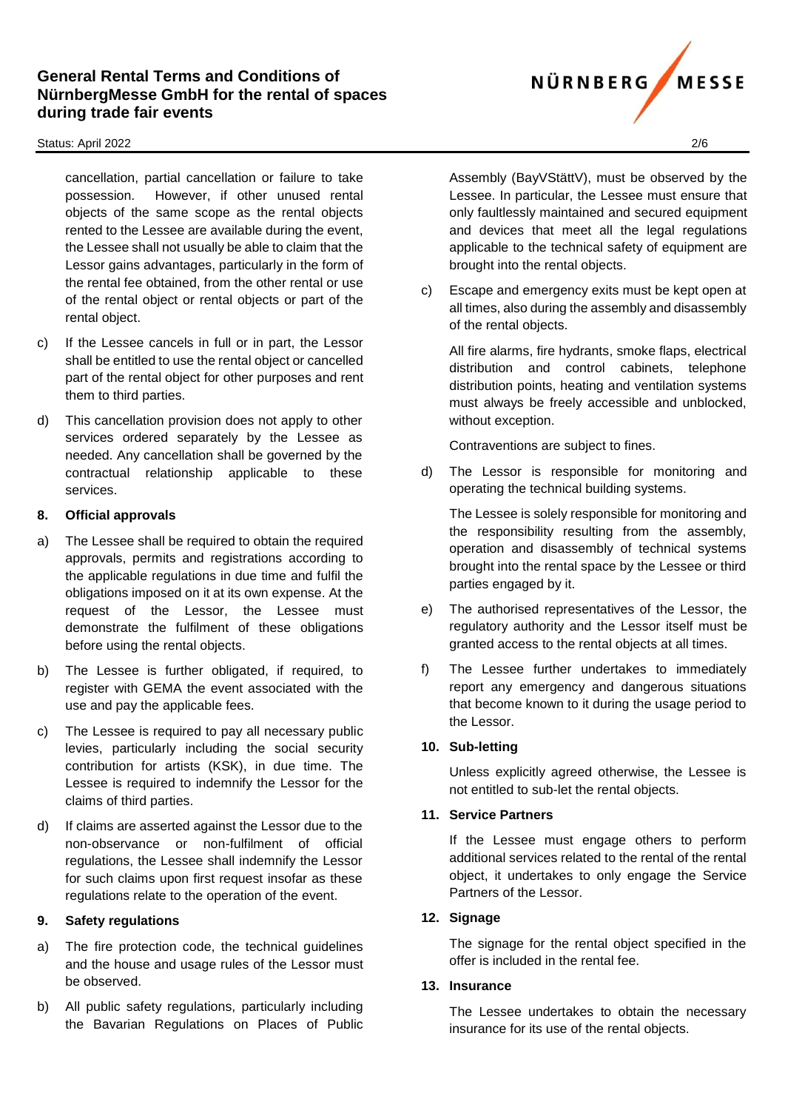#### Status: April 2022 2/6

cancellation, partial cancellation or failure to take possession. However, if other unused rental objects of the same scope as the rental objects rented to the Lessee are available during the event, the Lessee shall not usually be able to claim that the Lessor gains advantages, particularly in the form of the rental fee obtained, from the other rental or use of the rental object or rental objects or part of the rental object.

- c) If the Lessee cancels in full or in part, the Lessor shall be entitled to use the rental object or cancelled part of the rental object for other purposes and rent them to third parties.
- d) This cancellation provision does not apply to other services ordered separately by the Lessee as needed. Any cancellation shall be governed by the contractual relationship applicable to these services.

## **8. Official approvals**

- a) The Lessee shall be required to obtain the required approvals, permits and registrations according to the applicable regulations in due time and fulfil the obligations imposed on it at its own expense. At the request of the Lessor, the Lessee must demonstrate the fulfilment of these obligations before using the rental objects.
- b) The Lessee is further obligated, if required, to register with GEMA the event associated with the use and pay the applicable fees.
- c) The Lessee is required to pay all necessary public levies, particularly including the social security contribution for artists (KSK), in due time. The Lessee is required to indemnify the Lessor for the claims of third parties.
- d) If claims are asserted against the Lessor due to the non-observance or non-fulfilment of official regulations, the Lessee shall indemnify the Lessor for such claims upon first request insofar as these regulations relate to the operation of the event.

#### **9. Safety regulations**

- a) The fire protection code, the technical guidelines and the house and usage rules of the Lessor must be observed.
- b) All public safety regulations, particularly including the Bavarian Regulations on Places of Public

Assembly (BayVStättV), must be observed by the Lessee. In particular, the Lessee must ensure that only faultlessly maintained and secured equipment and devices that meet all the legal regulations applicable to the technical safety of equipment are brought into the rental objects.

c) Escape and emergency exits must be kept open at all times, also during the assembly and disassembly of the rental objects.

All fire alarms, fire hydrants, smoke flaps, electrical distribution and control cabinets, telephone distribution points, heating and ventilation systems must always be freely accessible and unblocked, without exception.

Contraventions are subject to fines.

d) The Lessor is responsible for monitoring and operating the technical building systems.

The Lessee is solely responsible for monitoring and the responsibility resulting from the assembly, operation and disassembly of technical systems brought into the rental space by the Lessee or third parties engaged by it.

- e) The authorised representatives of the Lessor, the regulatory authority and the Lessor itself must be granted access to the rental objects at all times.
- f) The Lessee further undertakes to immediately report any emergency and dangerous situations that become known to it during the usage period to the Lessor.

## **10. Sub-letting**

Unless explicitly agreed otherwise, the Lessee is not entitled to sub-let the rental objects.

## **11. Service Partners**

If the Lessee must engage others to perform additional services related to the rental of the rental object, it undertakes to only engage the Service Partners of the Lessor.

#### **12. Signage**

The signage for the rental object specified in the offer is included in the rental fee.

#### **13. Insurance**

The Lessee undertakes to obtain the necessary insurance for its use of the rental objects.

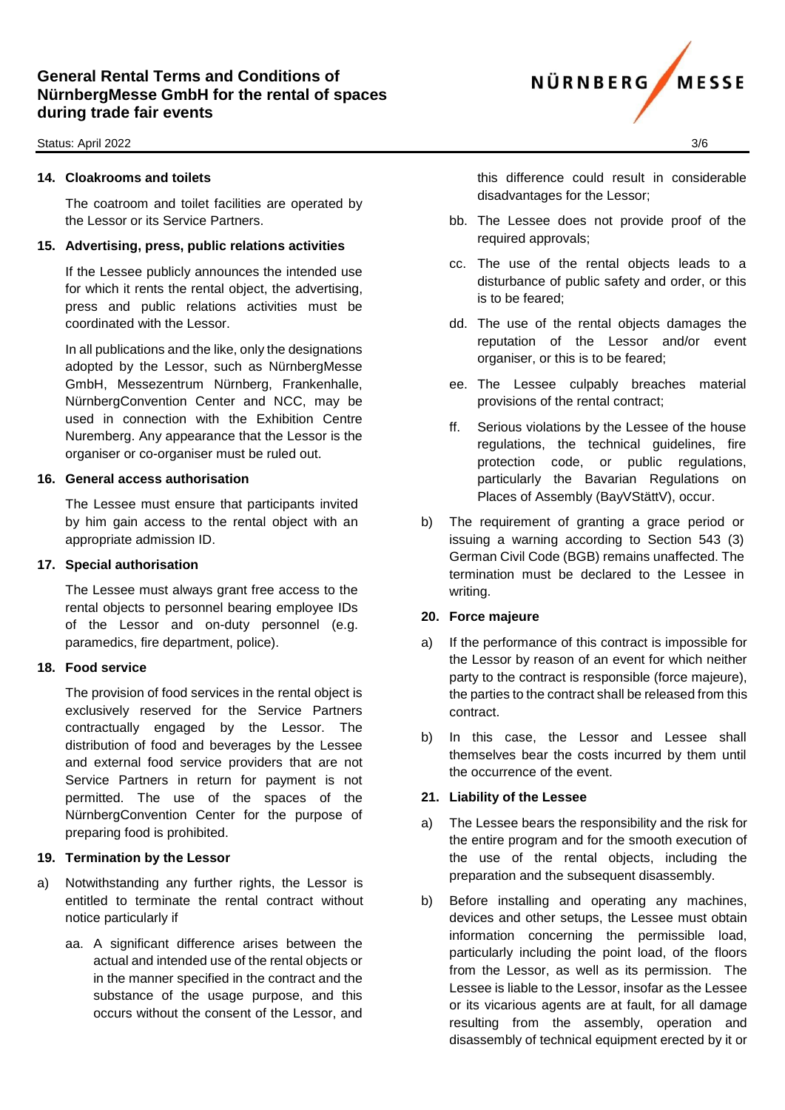#### Status: April 2022 3/6

### **14. Cloakrooms and toilets**

The coatroom and toilet facilities are operated by the Lessor or its Service Partners.

#### **15. Advertising, press, public relations activities**

If the Lessee publicly announces the intended use for which it rents the rental object, the advertising, press and public relations activities must be coordinated with the Lessor.

In all publications and the like, only the designations adopted by the Lessor, such as NürnbergMesse GmbH, Messezentrum Nürnberg, Frankenhalle, NürnbergConvention Center and NCC, may be used in connection with the Exhibition Centre Nuremberg. Any appearance that the Lessor is the organiser or co-organiser must be ruled out.

#### **16. General access authorisation**

The Lessee must ensure that participants invited by him gain access to the rental object with an appropriate admission ID.

#### **17. Special authorisation**

The Lessee must always grant free access to the rental objects to personnel bearing employee IDs of the Lessor and on-duty personnel (e.g. paramedics, fire department, police).

## **18. Food service**

The provision of food services in the rental object is exclusively reserved for the Service Partners contractually engaged by the Lessor. The distribution of food and beverages by the Lessee and external food service providers that are not Service Partners in return for payment is not permitted. The use of the spaces of the NürnbergConvention Center for the purpose of preparing food is prohibited.

## **19. Termination by the Lessor**

- a) Notwithstanding any further rights, the Lessor is entitled to terminate the rental contract without notice particularly if
	- aa. A significant difference arises between the actual and intended use of the rental objects or in the manner specified in the contract and the substance of the usage purpose, and this occurs without the consent of the Lessor, and

this difference could result in considerable disadvantages for the Lessor;

- bb. The Lessee does not provide proof of the required approvals;
- cc. The use of the rental objects leads to a disturbance of public safety and order, or this is to be feared;
- dd. The use of the rental objects damages the reputation of the Lessor and/or event organiser, or this is to be feared;
- ee. The Lessee culpably breaches material provisions of the rental contract;
- ff. Serious violations by the Lessee of the house regulations, the technical guidelines, fire protection code, or public regulations, particularly the Bavarian Regulations on Places of Assembly (BayVStättV), occur.
- b) The requirement of granting a grace period or issuing a warning according to Section 543 (3) German Civil Code (BGB) remains unaffected. The termination must be declared to the Lessee in writing.

## **20. Force majeure**

- a) If the performance of this contract is impossible for the Lessor by reason of an event for which neither party to the contract is responsible (force majeure), the parties to the contract shall be released from this contract.
- b) In this case, the Lessor and Lessee shall themselves bear the costs incurred by them until the occurrence of the event.

## **21. Liability of the Lessee**

- a) The Lessee bears the responsibility and the risk for the entire program and for the smooth execution of the use of the rental objects, including the preparation and the subsequent disassembly.
- b) Before installing and operating any machines, devices and other setups, the Lessee must obtain information concerning the permissible load, particularly including the point load, of the floors from the Lessor, as well as its permission. The Lessee is liable to the Lessor, insofar as the Lessee or its vicarious agents are at fault, for all damage resulting from the assembly, operation and disassembly of technical equipment erected by it or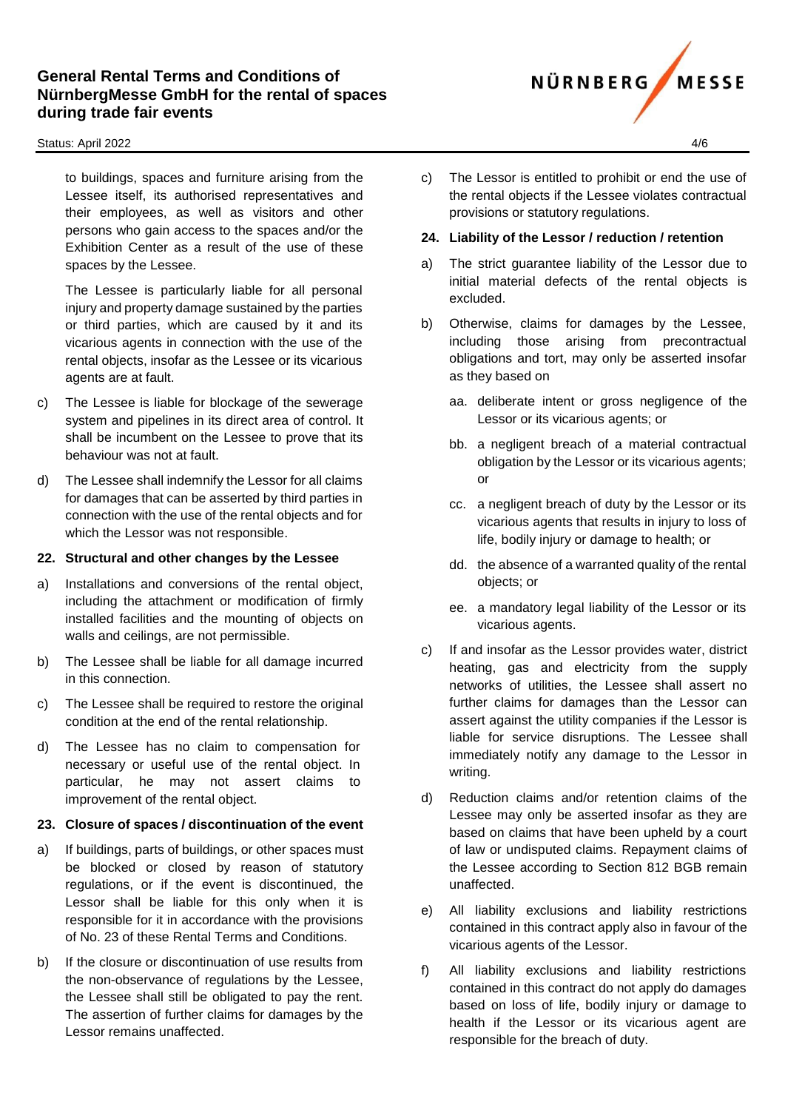#### Status: April 2022 4/6

to buildings, spaces and furniture arising from the Lessee itself, its authorised representatives and their employees, as well as visitors and other persons who gain access to the spaces and/or the Exhibition Center as a result of the use of these spaces by the Lessee.

The Lessee is particularly liable for all personal injury and property damage sustained by the parties or third parties, which are caused by it and its vicarious agents in connection with the use of the rental objects, insofar as the Lessee or its vicarious agents are at fault.

- c) The Lessee is liable for blockage of the sewerage system and pipelines in its direct area of control. It shall be incumbent on the Lessee to prove that its behaviour was not at fault.
- d) The Lessee shall indemnify the Lessor for all claims for damages that can be asserted by third parties in connection with the use of the rental objects and for which the Lessor was not responsible.

#### **22. Structural and other changes by the Lessee**

- a) Installations and conversions of the rental object, including the attachment or modification of firmly installed facilities and the mounting of objects on walls and ceilings, are not permissible.
- b) The Lessee shall be liable for all damage incurred in this connection.
- c) The Lessee shall be required to restore the original condition at the end of the rental relationship.
- d) The Lessee has no claim to compensation for necessary or useful use of the rental object. In particular, he may not assert claims to improvement of the rental object.

## **23. Closure of spaces / discontinuation of the event**

- a) If buildings, parts of buildings, or other spaces must be blocked or closed by reason of statutory regulations, or if the event is discontinued, the Lessor shall be liable for this only when it is responsible for it in accordance with the provisions of No. 23 of these Rental Terms and Conditions.
- b) If the closure or discontinuation of use results from the non-observance of regulations by the Lessee, the Lessee shall still be obligated to pay the rent. The assertion of further claims for damages by the Lessor remains unaffected.

c) The Lessor is entitled to prohibit or end the use of the rental objects if the Lessee violates contractual provisions or statutory regulations.

## **24. Liability of the Lessor / reduction / retention**

- a) The strict guarantee liability of the Lessor due to initial material defects of the rental objects is excluded.
- b) Otherwise, claims for damages by the Lessee, including those arising from precontractual obligations and tort, may only be asserted insofar as they based on
	- aa. deliberate intent or gross negligence of the Lessor or its vicarious agents; or
	- bb. a negligent breach of a material contractual obligation by the Lessor or its vicarious agents; or
	- cc. a negligent breach of duty by the Lessor or its vicarious agents that results in injury to loss of life, bodily injury or damage to health; or
	- dd. the absence of a warranted quality of the rental objects; or
	- ee. a mandatory legal liability of the Lessor or its vicarious agents.
- c) If and insofar as the Lessor provides water, district heating, gas and electricity from the supply networks of utilities, the Lessee shall assert no further claims for damages than the Lessor can assert against the utility companies if the Lessor is liable for service disruptions. The Lessee shall immediately notify any damage to the Lessor in writing.
- d) Reduction claims and/or retention claims of the Lessee may only be asserted insofar as they are based on claims that have been upheld by a court of law or undisputed claims. Repayment claims of the Lessee according to Section 812 BGB remain unaffected.
- e) All liability exclusions and liability restrictions contained in this contract apply also in favour of the vicarious agents of the Lessor.
- f) All liability exclusions and liability restrictions contained in this contract do not apply do damages based on loss of life, bodily injury or damage to health if the Lessor or its vicarious agent are responsible for the breach of duty.

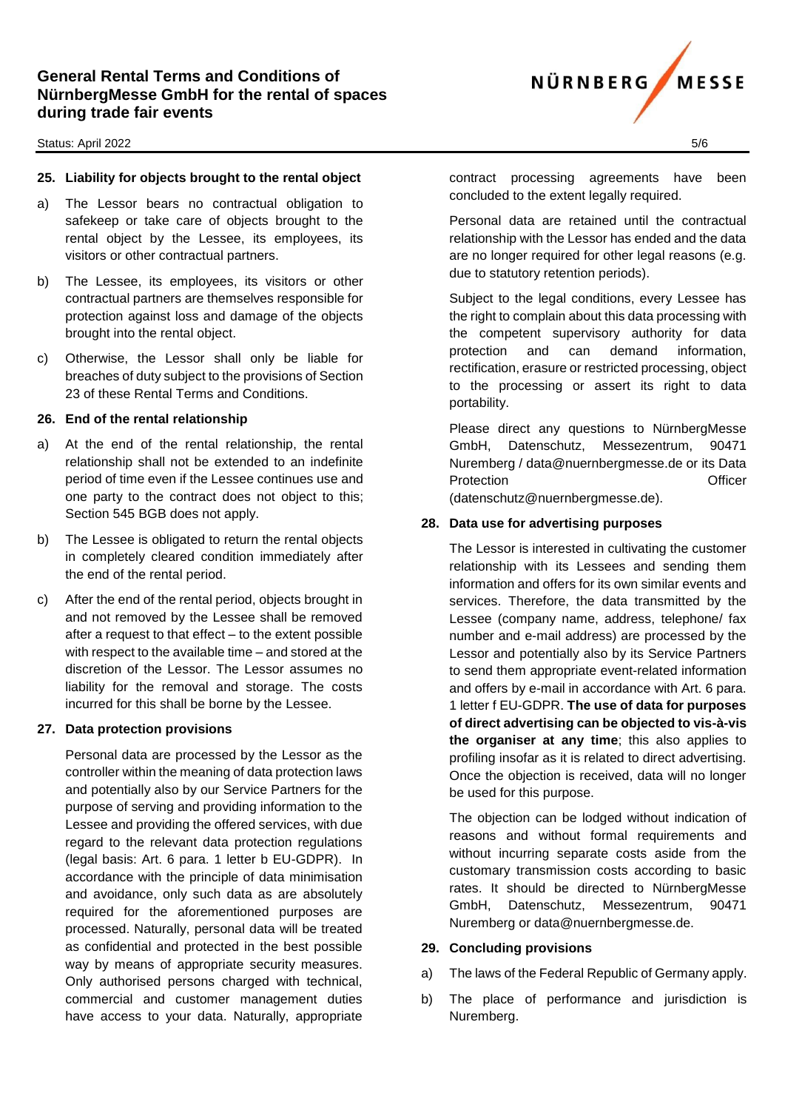#### Status: April 2022 5/6

# **25. Liability for objects brought to the rental object**

- a) The Lessor bears no contractual obligation to safekeep or take care of objects brought to the rental object by the Lessee, its employees, its visitors or other contractual partners.
- b) The Lessee, its employees, its visitors or other contractual partners are themselves responsible for protection against loss and damage of the objects brought into the rental object.
- c) Otherwise, the Lessor shall only be liable for breaches of duty subject to the provisions of Section 23 of these Rental Terms and Conditions.

## **26. End of the rental relationship**

- a) At the end of the rental relationship, the rental relationship shall not be extended to an indefinite period of time even if the Lessee continues use and one party to the contract does not object to this; Section 545 BGB does not apply.
- b) The Lessee is obligated to return the rental objects in completely cleared condition immediately after the end of the rental period.
- c) After the end of the rental period, objects brought in and not removed by the Lessee shall be removed after a request to that effect – to the extent possible with respect to the available time – and stored at the discretion of the Lessor. The Lessor assumes no liability for the removal and storage. The costs incurred for this shall be borne by the Lessee.

## **27. Data protection provisions**

Personal data are processed by the Lessor as the controller within the meaning of data protection laws and potentially also by our Service Partners for the purpose of serving and providing information to the Lessee and providing the offered services, with due regard to the relevant data protection regulations (legal basis: Art. 6 para. 1 letter b EU-GDPR). In accordance with the principle of data minimisation and avoidance, only such data as are absolutely required for the aforementioned purposes are processed. Naturally, personal data will be treated as confidential and protected in the best possible way by means of appropriate security measures. Only authorised persons charged with technical, commercial and customer management duties have access to your data. Naturally, appropriate

contract processing agreements have been concluded to the extent legally required.

Personal data are retained until the contractual relationship with the Lessor has ended and the data are no longer required for other legal reasons (e.g. due to statutory retention periods).

Subject to the legal conditions, every Lessee has the right to complain about this data processing with the competent supervisory authority for data protection and can demand information, rectification, erasure or restricted processing, object to the processing or assert its right to data portability.

Please direct any questions to NürnbergMesse GmbH, Datenschutz, Messezentrum, 90471 Nuremberg / data@nuernbergmesse.de or its Data Protection **Contract Contract Contract Contract Contract Contract Contract Contract Contract Contract Contract Contract Contract Contract Contract Contract Contract Contract Contract Contract Contract Contract Contract Con** 

(datenschutz@nuernbergmesse.de).

## **28. Data use for advertising purposes**

The Lessor is interested in cultivating the customer relationship with its Lessees and sending them information and offers for its own similar events and services. Therefore, the data transmitted by the Lessee (company name, address, telephone/ fax number and e-mail address) are processed by the Lessor and potentially also by its Service Partners to send them appropriate event-related information and offers by e-mail in accordance with Art. 6 para. 1 letter f EU-GDPR. **The use of data for purposes of direct advertising can be objected to vis-à-vis the organiser at any time**; this also applies to profiling insofar as it is related to direct advertising. Once the objection is received, data will no longer be used for this purpose.

The objection can be lodged without indication of reasons and without formal requirements and without incurring separate costs aside from the customary transmission costs according to basic rates. It should be directed to NürnbergMesse GmbH, Datenschutz, Messezentrum, 90471 Nuremberg or data@nuernbergmesse.de.

## **29. Concluding provisions**

- a) The laws of the Federal Republic of Germany apply.
- b) The place of performance and jurisdiction is Nuremberg.